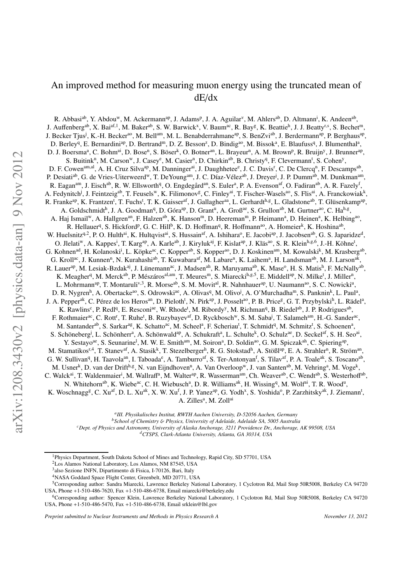# An improved method for measuring muon energy using the truncated mean of dE/dx

R. Abbasi<sup>ab</sup>, Y. Abdou<sup>w</sup>, M. Ackermann<sup>ap</sup>, J. Adams<sup>p</sup>, J. A. Aguilar<sup>v</sup>, M. Ahlers<sup>ab</sup>, D. Altmann<sup>i</sup>, K. Andeen<sup>ab</sup>, J. Auffenberg<sup>ab</sup>, X. Bai<sup>af,1</sup>, M. Baker<sup>ab</sup>, S. W. Barwick<sup>x</sup>, V. Baum<sup>ac</sup>, R. Bay<sup>g</sup>, K. Beattie<sup>h</sup>, J. J. Beatty<sup>r,s</sup>, S. Bechet<sup>m</sup>, J. Becker Tjus<sup>j</sup>, K.-H. Becker<sup>ao</sup>, M. Bell<sup>am</sup>, M. L. Benabderrahmane<sup>ap</sup>, S. BenZvi<sup>ab</sup>, J. Berdermann<sup>ap</sup>, P. Berghaus<sup>ap</sup>, D. Berley<sup>q</sup>, E. Bernardini<sup>ap</sup>, D. Bertrand<sup>m</sup>, D. Z. Besson<sup>z</sup>, D. Bindig<sup>ao</sup>, M. Bissok<sup>a</sup>, E. Blaufuss<sup>q</sup>, J. Blumenthal<sup>a</sup>, D. J. Boersma<sup>a</sup>, C. Bohm<sup>ai</sup>, D. Bose<sup>n</sup>, S. Böser<sup>k</sup>, O. Botner<sup>an</sup>, L. Brayeur<sup>n</sup>, A. M. Brown<sup>p</sup>, R. Bruijn<sup>y</sup>, J. Brunner<sup>ap</sup>, S. Buitink<sup>n</sup>, M. Carson<sup>w</sup>, J. Casey<sup>e</sup>, M. Casier<sup>n</sup>, D. Chirkin<sup>ab</sup>, B. Christy<sup>q</sup>, F. Clevermann<sup>t</sup>, S. Cohen<sup>y</sup>, D. F. Cowen<sup>am,al</sup>, A. H. Cruz Silva<sup>ap</sup>, M. Danninger<sup>ai</sup>, J. Daughhetee<sup>e</sup>, J. C. Davis<sup>r</sup>, C. De Clercq<sup>n</sup>, F. Descamps<sup>ab</sup>, P. Desiati<sup>ab</sup>, G. de Vries-Uiterweerd<sup>w</sup>, T. DeYoung<sup>am</sup>, J. C. Díaz-Vélez<sup>ab</sup>, J. Dreyer<sup>j</sup>, J. P. Dumm<sup>ab</sup>, M. Dunkman<sup>am</sup>, R. Eagan<sup>am</sup>, J. Eisch<sup>ab</sup>, R. W. Ellsworth<sup>q</sup>, O. Engdegård<sup>an</sup>, S. Euler<sup>a</sup>, P. A. Evenson<sup>af</sup>, O. Fadiran<sup>ab</sup>, A. R. Fazely<sup>f</sup>, A. Fedynitch<sup>j</sup>, J. Feintzeig<sup>ab</sup>, T. Feusels<sup>w</sup>, K. Filimonov<sup>g</sup>, C. Finley<sup>ai</sup>, T. Fischer-Wasels<sup>ao</sup>, S. Flis<sup>ai</sup>, A. Franckowiak<sup>k</sup>, R. Franke<sup>ap</sup>, K. Frantzen<sup>t</sup>, T. Fuchs<sup>t</sup>, T. K. Gaisser<sup>af</sup>, J. Gallagher<sup>aa</sup>, L. Gerhardt<sup>h,g</sup>, L. Gladstone<sup>ab</sup>, T. Glüsenkamp<sup>ap</sup>, A. Goldschmidt<sup>h</sup>, J. A. Goodman<sup>q</sup>, D. Góra<sup>ap</sup>, D. Grant<sup>u</sup>, A. Groß<sup>ae</sup>, S. Grullon<sup>ab</sup>, M. Gurtner<sup>ao</sup>, C. Ha<sup>h,g</sup>, A. Haj Ismail<sup>w</sup>, A. Hallgren<sup>an</sup>, F. Halzen<sup>ab</sup>, K. Hanson<sup>m</sup>, D. Heereman<sup>m</sup>, P. Heimann<sup>a</sup>, D. Heinen<sup>a</sup>, K. Helbing<sup>ao</sup>, R. Hellauer<sup>q</sup>, S. Hickford<sup>p</sup>, G. C. Hill<sup>b</sup>, K. D. Hoffman<sup>q</sup>, R. Hoffmann<sup>ao</sup>, A. Homeier<sup>k</sup>, K. Hoshina<sup>ab</sup>, W. Huelsnitz<sup>q,2</sup>, P. O. Hulth<sup>ai</sup>, K. Hultqvist<sup>ai</sup>, S. Hussain<sup>af</sup>, A. Ishihara<sup>o</sup>, E. Jacobi<sup>ap</sup>, J. Jacobsen<sup>ab</sup>, G. S. Japaridze<sup>d</sup>, O. Jlelati<sup>w</sup>, A. Kappes<sup>i</sup>, T. Karg<sup>ap</sup>, A. Karle<sup>ab</sup>, J. Kiryluk<sup>aj</sup>, F. Kislat<sup>ap</sup>, J. Kläs<sup>ao</sup>, S. R. Klein<sup>h,g,6</sup>, J.-H. Köhne<sup>t</sup>, G. Kohnen<sup>ad</sup>, H. Kolanoski<sup>i</sup>, L. Köpke<sup>ac</sup>, C. Kopper<sup>ab</sup>, S. Kopper<sup>ao</sup>, D. J. Koskinen<sup>am</sup>, M. Kowalski<sup>k</sup>, M. Krasberg<sup>ab</sup>, G. Kroll<sup>ac</sup>, J. Kunnen<sup>n</sup>, N. Kurahashi<sup>ab</sup>, T. Kuwabara<sup>af</sup>, M. Labare<sup>n</sup>, K. Laihem<sup>a</sup>, H. Landsman<sup>ab</sup>, M. J. Larson<sup>ak</sup> , R. Lauer<sup>ap</sup>, M. Lesiak-Bzdak<sup>aj</sup>, J. Lünemann<sup>ac</sup>, J. Madsen<sup>ah</sup>, R. Maruyama<sup>ab</sup>, K. Mase°, H. S. Matis<sup>h</sup>, F. McNally<sup>ab</sup>, K. Meagher<sup>q</sup>, M. Merck<sup>ab</sup>, P. Mészáros<sup>al,am</sup>, T. Meures<sup>m</sup>, S. Miarecki<sup>h,g,5</sup>, E. Middell<sup>ap</sup>, N. Milke<sup>t</sup>, J. Miller<sup>n</sup>, L. Mohrmann<sup>ap</sup>, T. Montaruli<sup>v,3</sup>, R. Morse<sup>ab</sup>, S. M. Movit<sup>al</sup>, R. Nahnhauer<sup>ap</sup>, U. Naumann<sup>ao</sup>, S. C. Nowicki<sup>u</sup>, D. R. Nygren<sup>h</sup>, A. Obertacke<sup>ao</sup>, S. Odrowski<sup>ae</sup>, A. Olivas<sup>q</sup>, M. Olivo<sup>j</sup>, A. O'Murchadha<sup>m</sup>, S. Panknin<sup>k</sup>, L. Paul<sup>a</sup>, J. A. Pepper<sup>ak</sup>, C. Pérez de los Heros<sup>an</sup>, D. Pieloth<sup>t</sup>, N. Pirk<sup>ap</sup>, J. Posselt<sup>ao</sup>, P. B. Price<sup>g</sup>, G. T. Przybylski<sup>h</sup>, L. Rädel<sup>a</sup>, K. Rawlins<sup>c</sup>, P. Redl<sup>q</sup>, E. Resconi<sup>ae</sup>, W. Rhode<sup>t</sup>, M. Ribordy<sup>y</sup>, M. Richman<sup>q</sup>, B. Riedel<sup>ab</sup>, J. P. Rodrigues<sup>ab</sup>, F. Rothmaier<sup>ac</sup>, C. Rott<sup>r</sup>, T. Ruhe<sup>t</sup>, B. Ruzybayev<sup>af</sup>, D. Ryckbosch<sup>w</sup>, S. M. Saba<sup>j</sup>, T. Salameh<sup>am</sup>, H.-G. Sander<sup>ac</sup>, M. Santander<sup>ab</sup>, S. Sarkar<sup>ag</sup>, K. Schatto<sup>ac</sup>, M. Scheel<sup>a</sup>, F. Scheriau<sup>t</sup>, T. Schmidt<sup>q</sup>, M. Schmitz<sup>t</sup>, S. Schoenen<sup>a</sup>, S. Schöneberg<sup>j</sup>, L. Schönherr<sup>a</sup>, A. Schönwald<sup>ap</sup>, A. Schukraft<sup>a</sup>, L. Schulte<sup>k</sup>, O. Schulz<sup>ae</sup>, D. Seckel<sup>af</sup>, S. H. Seo<sup>ai</sup>, Y. Sestayo<sup>ae</sup>, S. Seunarine<sup>1</sup>, M. W. E. Smith<sup>am</sup>, M. Soiron<sup>a</sup>, D. Soldin<sup>ao</sup>, G. M. Spiczak<sup>ah</sup>, C. Spiering<sup>ap</sup>, M. Stamatikos<sup>r,4</sup>, T. Stanev<sup>af</sup>, A. Stasik<sup>k</sup>, T. Stezelberger<sup>h</sup>, R. G. Stokstad<sup>h</sup>, A. Stößl<sup>ap</sup>, E. A. Strahler<sup>n</sup>, R. Ström<sup>an</sup>, G. W. Sullivan<sup>q</sup>, H. Taavola<sup>an</sup>, I. Taboada<sup>e</sup>, A. Tamburro<sup>af</sup>, S. Ter-Antonyan<sup>f</sup>, S. Tilav<sup>af</sup>, P. A. Toale<sup>ak</sup>, S. Toscano<sup>ab</sup>, M. Usner<sup>k</sup>, D. van der Drift<sup>h,g</sup>, N. van Eijndhoven<sup>n</sup>, A. Van Overloop<sup>w</sup>, J. van Santen<sup>ab</sup>, M. Vehring<sup>a</sup>, M. Voge<sup>k</sup>, C. Walck<sup>ai</sup>, T. Waldenmaier<sup>i</sup>, M. Wallraff<sup>a</sup>, M. Walter<sup>ap</sup>, R. Wasserman<sup>am</sup>, Ch. Weaver<sup>ab</sup>, C. Wendt<sup>ab</sup>, S. Westerhoff<sup>ab</sup>, N. Whitehorn<sup>ab</sup>, K. Wiebe<sup>ac</sup>, C. H. Wiebusch<sup>a</sup>, D. R. Williams<sup>ak</sup>, H. Wissing<sup>q</sup>, M. Wolf<sup>ai</sup>, T. R. Wood<sup>u</sup>, K. Woschnagg<sup>g</sup>, C. Xu<sup>af</sup>, D. L. Xu<sup>ak</sup>, X. W. Xu<sup>f</sup>, J. P. Yanez<sup>ap</sup>, G. Yodh<sup>x</sup>, S. Yoshida<sup>o</sup>, P. Zarzhitsky<sup>ak</sup>, J. Ziemann<sup>t</sup>,

A. Zilles<sup>a</sup>, M. Zoll<sup>ai</sup>

*a III. Physikalisches Institut, RWTH Aachen University, D-52056 Aachen, Germany*

*<sup>b</sup>School of Chemistry* & *Physics, University of Adelaide, Adelaide SA, 5005 Australia*

*<sup>c</sup>Dept. of Physics and Astronomy, University of Alaska Anchorage, 3211 Providence Dr., Anchorage, AK 99508, USA*

*<sup>d</sup>CTSPS, Clark-Atlanta University, Atlanta, GA 30314, USA*

*Preprint submitted to Nuclear Instruments and Methods in Physics Research A November 13, 2012*

<sup>&</sup>lt;sup>1</sup>Physics Department, South Dakota School of Mines and Technology, Rapid City, SD 57701, USA

<sup>2</sup>Los Alamos National Laboratory, Los Alamos, NM 87545, USA

<sup>3</sup> also Sezione INFN, Dipartimento di Fisica, I-70126, Bari, Italy

<sup>4</sup>NASA Goddard Space Flight Center, Greenbelt, MD 20771, USA

<sup>5</sup>Corresponding author: Sandra Miarecki, Lawrence Berkeley National Laboratory, 1 Cyclotron Rd, Mail Stop 50R5008, Berkeley CA 94720 USA, Phone +1-510-486-7620, Fax +1-510-486-6738, Email miarecki@berkeley.edu

<sup>6</sup>Corresponding author: Spencer Klein, Lawrence Berkeley National Laboratory, 1 Cyclotron Rd, Mail Stop 50R5008, Berkeley CA 94720 USA, Phone +1-510-486-5470, Fax +1-510-486-6738, Email srklein@lbl.gov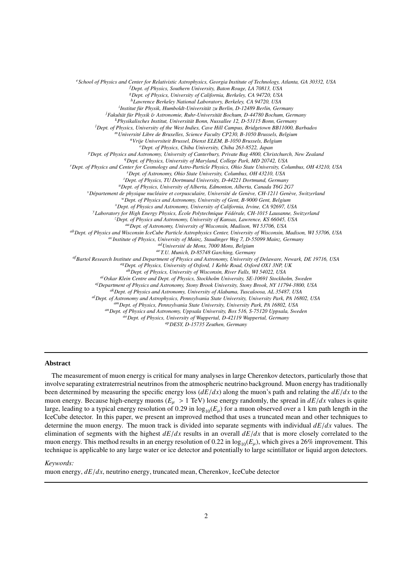*<sup>e</sup>School of Physics and Center for Relativistic Astrophysics, Georgia Institute of Technology, Atlanta, GA 30332, USA <sup>f</sup>Dept. of Physics, Southern University, Baton Rouge, LA 70813, USA <sup>g</sup>Dept. of Physics, University of California, Berkeley, CA 94720, USA <sup>h</sup>Lawrence Berkeley National Laboratory, Berkeley, CA 94720, USA* <sup>i</sup> Institut für Physik, Humboldt-Universität zu Berlin, D-12489 Berlin, Germany <sup>*j*</sup>Fakultät für Physik & Astronomie, Ruhr-Universität Bochum, D-44780 Bochum, Germany *<sup>k</sup>Physikalisches Institut, Universit ¨at Bonn, Nussallee 12, D-53115 Bonn, Germany <sup>l</sup>Dept. of Physics, University of the West Indies, Cave Hill Campus, Bridgetown BB11000, Barbados <sup>m</sup>Universit´e Libre de Bruxelles, Science Faculty CP230, B-1050 Brussels, Belgium <sup>n</sup>Vrije Universiteit Brussel, Dienst ELEM, B-1050 Brussels, Belgium <sup>o</sup>Dept. of Physics, Chiba University, Chiba 263-8522, Japan <sup>p</sup>Dept. of Physics and Astronomy, University of Canterbury, Private Bag 4800, Christchurch, New Zealand <sup>q</sup>Dept. of Physics, University of Maryland, College Park, MD 20742, USA <sup>r</sup>Dept. of Physics and Center for Cosmology and Astro-Particle Physics, Ohio State University, Columbus, OH 43210, USA <sup>s</sup>Dept. of Astronomy, Ohio State University, Columbus, OH 43210, USA <sup>t</sup>Dept. of Physics, TU Dortmund University, D-44221 Dortmund, Germany <sup>u</sup>Dept. of Physics, University of Alberta, Edmonton, Alberta, Canada T6G 2G7* <sup>*v*</sup>Département de physique nucléaire et corpusculaire, Université de Genève, CH-1211 Genève, Switzerland *<sup>w</sup>Dept. of Physics and Astronomy, University of Gent, B-9000 Gent, Belgium <sup>x</sup>Dept. of Physics and Astronomy, University of California, Irvine, CA 92697, USA <sup>y</sup>Laboratory for High Energy Physics, Ecole Polytechnique F´ed´erale, CH-1015 Lausanne, Switze ´ rland <sup>z</sup>Dept. of Physics and Astronomy, University of Kansas, Lawrence, KS 66045, USA aaDept. of Astronomy, University of Wisconsin, Madison, WI 53706, USA abDept. of Physics and Wisconsin IceCube Particle Astrophysics Center, University of Wisconsin, Madison, WI 53706, USA acInstitute of Physics, University of Mainz, Staudinger Weg 7, D-55099 Mainz, Germany adUniversit´e de Mons, 7000 Mons, Belgium aeT.U. Munich, D-85748 Garching, Germany afBartol Research Institute and Department of Physics and Astronomy, University of Delaware, Newark, DE 19716, USA agDept. of Physics, University of Oxford, 1 Keble Road, Oxford OX1 3NP, UK ahDept. of Physics, University of Wisconsin, River Falls, WI 54022, USA aiOskar Klein Centre and Dept. of Physics, Stockholm University, SE-10691 Stockholm, Sweden ajDepartment of Physics and Astronomy, Stony Brook University, Stony Brook, NY 11794-3800, USA akDept. of Physics and Astronomy, University of Alabama, Tuscaloosa, AL 35487, USA alDept. of Astronomy and Astrophysics, Pennsylvania State University, University Park, PA 16802, USA amDept. of Physics, Pennsylvania State University, University Park, PA 16802, USA anDept. of Physics and Astronomy, Uppsala University, Box 516, S-75120 Uppsala, Sweden aoDept. of Physics, University of Wuppertal, D-42119 Wuppertal, Germany apDESY, D-15735 Zeuthen, Germany*

## **Abstract**

The measurement of muon energy is critical for many analyses in large Cherenkov detectors, particularly those that involve separating extraterrestrial neutrinos from the atmospheric neutrino background. Muon energy has traditionally been determined by measuring the specific energy loss (*dE*/*dx*) along the muon's path and relating the *dE*/*dx* to the muon energy. Because high-energy muons ( $E<sub>\mu</sub> > 1$  TeV) lose energy randomly, the spread in  $dE/dx$  values is quite large, leading to a typical energy resolution of 0.29 in  $log_{10}(E_\mu)$  for a muon observed over a 1 km path length in the IceCube detector. In this paper, we present an improved method that uses a truncated mean and other techniques to determine the muon energy. The muon track is divided into separate segments with individual *dE*/*dx* values. The elimination of segments with the highest  $dE/dx$  results in an overall  $dE/dx$  that is more closely correlated to the muon energy. This method results in an energy resolution of 0.22 in  $log_{10}(E_\mu)$ , which gives a 26% improvement. This technique is applicable to any large water or ice detector and potentially to large scintillator or liquid argon detectors.

### *Keywords:*

muon energy, *dE*/*dx*, neutrino energy, truncated mean, Cherenkov, IceCube detector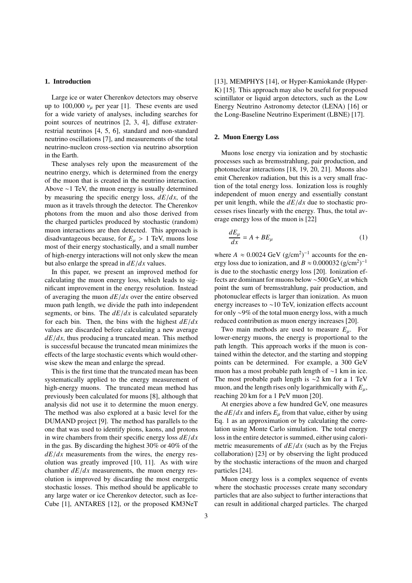## **1. Introduction**

Large ice or water Cherenkov detectors may observe up to 100,000  $v_{\mu}$  per year [1]. These events are used for a wide variety of analyses, including searches for point sources of neutrinos [2, 3, 4], diffuse extraterrestrial neutrinos [4, 5, 6], standard and non-standard neutrino oscillations [7], and measurements of the total neutrino-nucleon cross-section via neutrino absorption in the Earth.

These analyses rely upon the measurement of the neutrino energy, which is determined from the energy of the muon that is created in the neutrino interaction. Above ∼1 TeV, the muon energy is usually determined by measuring the specific energy loss, *dE*/*dx*, of the muon as it travels through the detector. The Cherenkov photons from the muon and also those derived from the charged particles produced by stochastic (random) muon interactions are then detected. This approach is disadvantageous because, for  $E_u > 1$  TeV, muons lose most of their energy stochastically, and a small number of high-energy interactions will not only skew the mean but also enlarge the spread in *dE*/*dx* values.

In this paper, we present an improved method for calculating the muon energy loss, which leads to significant improvement in the energy resolution. Instead of averaging the muon *dE*/*dx* over the entire observed muon path length, we divide the path into independent segments, or bins. The *dE*/*dx* is calculated separately for each bin. Then, the bins with the highest *dE*/*dx* values are discarded before calculating a new average *dE*/*dx*, thus producing a truncated mean. This method is successful because the truncated mean minimizes the effects of the large stochastic events which would otherwise skew the mean and enlarge the spread.

This is the first time that the truncated mean has been systematically applied to the energy measurement of high-energy muons. The truncated mean method has previously been calculated for muons [8], although that analysis did not use it to determine the muon energy. The method was also explored at a basic level for the DUMAND project [9]. The method has parallels to the one that was used to identify pions, kaons, and protons in wire chambers from their specific energy loss *dE*/*dx* in the gas. By discarding the highest 30% or 40% of the  $dE/dx$  measurements from the wires, the energy resolution was greatly improved [10, 11]. As with wire chamber  $dE/dx$  measurements, the muon energy resolution is improved by discarding the most energetic stochastic losses. This method should be applicable to any large water or ice Cherenkov detector, such as Ice-Cube [1], ANTARES [12], or the proposed KM3NeT

[13], MEMPHYS [14], or Hyper-Kamiokande (Hyper-K) [15]. This approach may also be useful for proposed scintillator or liquid argon detectors, such as the Low Energy Neutrino Astronomy detector (LENA) [16] or the Long-Baseline Neutrino Experiment (LBNE) [17].

#### **2. Muon Energy Loss**

Muons lose energy via ionization and by stochastic processes such as bremsstrahlung, pair production, and photonuclear interactions [18, 19, 20, 21]. Muons also emit Cherenkov radiation, but this is a very small fraction of the total energy loss. Ionization loss is roughly independent of muon energy and essentially constant per unit length, while the *dE*/*dx* due to stochastic processes rises linearly with the energy. Thus, the total average energy loss of the muon is [22]

$$
\frac{dE_{\mu}}{dx} = A + BE_{\mu} \tag{1}
$$

where  $A \approx 0.0024$  GeV  $(g/cm^2)^{-1}$  accounts for the energy loss due to ionization, and  $B \approx 0.000032 \, (\text{g/cm}^2)^{-1}$ is due to the stochastic energy loss [20]. Ionization effects are dominant for muons below ∼500 GeV, at which point the sum of bremsstrahlung, pair production, and photonuclear effects is larger than ionization. As muon energy increases to ∼10 TeV, ionization effects account for only ∼9% of the total muon energy loss, with a much reduced contribution as muon energy increases [20].

Two main methods are used to measure  $E_u$ . For lower-energy muons, the energy is proportional to the path length. This approach works if the muon is contained within the detector, and the starting and stopping points can be determined. For example, a 300 GeV muon has a most probable path length of ∼1 km in ice. The most probable path length is ∼2 km for a 1 TeV muon, and the length rises only logarithmically with *E*µ, reaching 20 km for a 1 PeV muon [20].

At energies above a few hundred GeV, one measures the  $dE/dx$  and infers  $E_\mu$  from that value, either by using Eq. 1 as an approximation or by calculating the correlation using Monte Carlo simulation. The total energy loss in the entire detector is summed, either using calorimetric measurements of *dE*/*dx* (such as by the Frejus collaboration) [23] or by observing the light produced by the stochastic interactions of the muon and charged particles [24].

Muon energy loss is a complex sequence of events where the stochastic processes create many secondary particles that are also subject to further interactions that can result in additional charged particles. The charged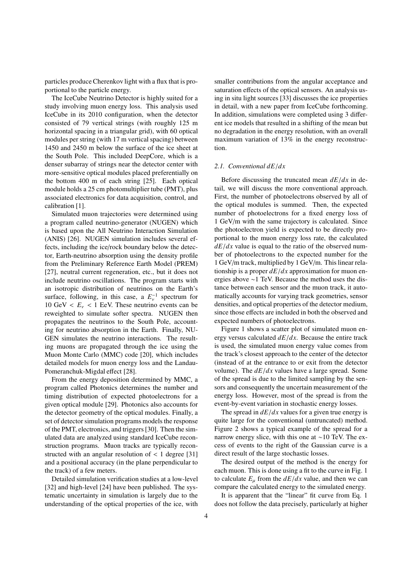particles produce Cherenkov light with a flux that is proportional to the particle energy.

The IceCube Neutrino Detector is highly suited for a study involving muon energy loss. This analysis used IceCube in its 2010 configuration, when the detector consisted of 79 vertical strings (with roughly 125 m horizontal spacing in a triangular grid), with 60 optical modules per string (with 17 m vertical spacing) between 1450 and 2450 m below the surface of the ice sheet at the South Pole. This included DeepCore, which is a denser subarray of strings near the detector center with more-sensitive optical modules placed preferentially on the bottom 400 m of each string [25]. Each optical module holds a 25 cm photomultiplier tube (PMT), plus associated electronics for data acquisition, control, and calibration [1].

Simulated muon trajectories were determined using a program called neutrino-generator (NUGEN) which is based upon the All Neutrino Interaction Simulation (ANIS) [26]. NUGEN simulation includes several effects, including the ice/rock boundary below the detector, Earth-neutrino absorption using the density profile from the Preliminary Reference Earth Model (PREM) [27], neutral current regeneration, etc., but it does not include neutrino oscillations. The program starts with an isotropic distribution of neutrinos on the Earth's surface, following, in this case, a  $E_v^{-1}$  spectrum for 10 GeV  $\lt E_v \lt 1$  EeV. These neutrino events can be reweighted to simulate softer spectra. NUGEN then propagates the neutrinos to the South Pole, accounting for neutrino absorption in the Earth. Finally, NU-GEN simulates the neutrino interactions. The resulting muons are propagated through the ice using the Muon Monte Carlo (MMC) code [20], which includes detailed models for muon energy loss and the Landau-Pomeranchuk-Migdal effect [28].

From the energy deposition determined by MMC, a program called Photonics determines the number and timing distribution of expected photoelectrons for a given optical module [29]. Photonics also accounts for the detector geometry of the optical modules. Finally, a set of detector simulation programs models the response of the PMT, electronics, and triggers [30]. Then the simulated data are analyzed using standard IceCube reconstruction programs. Muon tracks are typically reconstructed with an angular resolution of  $\lt 1$  degree [31] and a positional accuracy (in the plane perpendicular to the track) of a few meters.

Detailed simulation verification studies at a low-level [32] and high-level [24] have been published. The systematic uncertainty in simulation is largely due to the understanding of the optical properties of the ice, with

smaller contributions from the angular acceptance and saturation effects of the optical sensors. An analysis using in situ light sources [33] discusses the ice properties in detail, with a new paper from IceCube forthcoming. In addition, simulations were completed using 3 different ice models that resulted in a shifting of the mean but no degradation in the energy resolution, with an overall maximum variation of 13% in the energy reconstruction.

## *2.1. Conventional dE*/*dx*

Before discussing the truncated mean *dE*/*dx* in detail, we will discuss the more conventional approach. First, the number of photoelectrons observed by all of the optical modules is summed. Then, the expected number of photoelectrons for a fixed energy loss of 1 GeV/m with the same trajectory is calculated. Since the photoelectron yield is expected to be directly proportional to the muon energy loss rate, the calculated *dE*/*dx* value is equal to the ratio of the observed number of photoelectrons to the expected number for the 1 GeV/m track, multiplied by 1 GeV/m. This linear relationship is a proper *dE*/*dx* approximation for muon energies above ∼1 TeV. Because the method uses the distance between each sensor and the muon track, it automatically accounts for varying track geometries, sensor densities, and optical properties of the detector medium, since those effects are included in both the observed and expected numbers of photoelectrons.

Figure 1 shows a scatter plot of simulated muon energy versus calculated *dE*/*dx*. Because the entire track is used, the simulated muon energy value comes from the track's closest approach to the center of the detector (instead of at the entrance to or exit from the detector volume). The *dE*/*dx* values have a large spread. Some of the spread is due to the limited sampling by the sensors and consequently the uncertain measurement of the energy loss. However, most of the spread is from the event-by-event variation in stochastic energy losses.

The spread in  $dE/dx$  values for a given true energy is quite large for the conventional (untruncated) method. Figure 2 shows a typical example of the spread for a narrow energy slice, with this one at ∼10 TeV. The excess of events to the right of the Gaussian curve is a direct result of the large stochastic losses.

The desired output of the method is the energy for each muon. This is done using a fit to the curve in Fig. 1 to calculate  $E_u$  from the  $dE/dx$  value, and then we can compare the calculated energy to the simulated energy.

It is apparent that the "linear" fit curve from Eq. 1 does not follow the data precisely, particularly at higher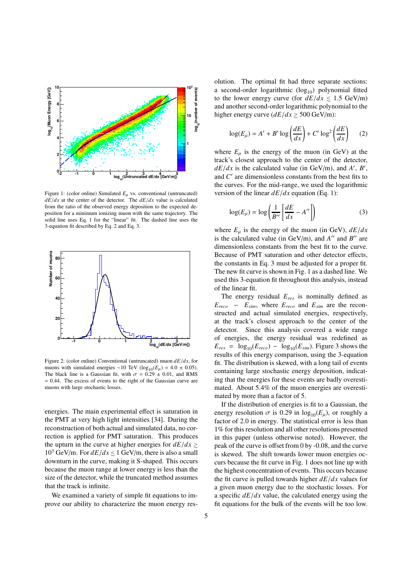

Figure 1: (color online) Simulated  $E_\mu$  vs. conventional (untruncated)  $dE/dx$  at the center of the detector. The  $dE/dx$  value is calculated from the ratio of the observed energy deposition to the expected deposition for a minimum ionizing muon with the same trajectory. The solid line uses Eq. 1 for the "linear" fit. The dashed line uses the 3-equation fit described by Eq. 2 and Eq. 3.



Figure 2: (color online) Conventional (untruncated) muon *dE*/*dx*, for muons with simulated energies ~10 TeV ( $log_{10}(E_{\mu}) = 4.0 \pm 0.05$ ). The black line is a Gaussian fit, with  $\sigma = 0.29 \pm 0.01$ , and RMS  $= 0.44$ . The excess of events to the right of the Gaussian curve are muons with large stochastic losses.

energies. The main experimental effect is saturation in the PMT at very high light intensities [34]. During the reconstruction of both actual and simulated data, no correction is applied for PMT saturation. This produces the upturn in the curve at higher energies for  $dE/dx \ge$  $10^3$  GeV/m. For  $dE/dx \le 1$  GeV/m, there is also a small downturn in the curve, making it S-shaped. This occurs because the muon range at lower energy is less than the size of the detector, while the truncated method assumes that the track is infinite.

We examined a variety of simple fit equations to improve our ability to characterize the muon energy resolution. The optimal fit had three separate sections: a second-order logarithmic  $(log_{10})$  polynomial fitted to the lower energy curve (for  $dE/dx \le 1.5$  GeV/m) and another second-order logarithmic polynomial to the higher energy curve  $(dE/dx \ge 500 \text{ GeV/m})$ :

$$
\log(E_{\mu}) = A' + B' \log\left(\frac{dE}{dx}\right) + C' \log^2\left(\frac{dE}{dx}\right) \tag{2}
$$

where  $E_{\mu}$  is the energy of the muon (in GeV) at the track's closest approach to the center of the detector,  $dE/dx$  is the calculated value (in GeV/m), and *A'*, *B'*, and *C* ′ are dimensionless constants from the best fits to the curves. For the mid-range, we used the logarithmic version of the linear *dE*/*dx* equation (Eq. 1):

$$
\log(E_{\mu}) = \log\left(\frac{1}{B^{\prime\prime}}\left[\frac{dE}{dx} - A^{\prime\prime}\right]\right) \tag{3}
$$

where  $E_{\mu}$  is the energy of the muon (in GeV),  $dE/dx$ is the calculated value (in  $GeV/m$ ), and  $A''$  and  $B''$  are dimensionless constants from the best fit to the curve. Because of PMT saturation and other detector effects, the constants in Eq. 3 must be adjusted for a proper fit. The new fit curve is shown in Fig. 1 as a dashed line. We used this 3-equation fit throughout this analysis, instead of the linear fit.

The energy residual *Eres* is nominally defined as  $E_{reco}$  –  $E_{sim}$ , where  $E_{reco}$  and  $E_{sim}$  are the reconstructed and actual simulated energies, respectively, at the track's closest approach to the center of the detector. Since this analysis covered a wide range of energies, the energy residual was redefined as  $E_{res}$  =  $\log_{10}(E_{reco})$  –  $\log_{10}(E_{sim})$ . Figure 3 shows the results of this energy comparison, using the 3-equation fit. The distribution is skewed, with a long tail of events containing large stochastic energy deposition, indicating that the energies for these events are badly overestimated. About 5.4% of the muon energies are overestimated by more than a factor of 5.

If the distribution of energies is fit to a Gaussian, the energy resolution  $\sigma$  is 0.29 in log<sub>10</sub>( $E_{\mu}$ ), or roughly a factor of 2.0 in energy. The statistical error is less than 1% for this resolution and all other resolutions presented in this paper (unless otherwise noted). However, the peak of the curve is offset from 0 by -0.08, and the curve is skewed. The shift towards lower muon energies occurs because the fit curve in Fig. 1 does not line up with the highest concentration of events. This occurs because the fit curve is pulled towards higher *dE*/*dx* values for a given muon energy due to the stochastic losses. For a specific *dE*/*dx* value, the calculated energy using the fit equations for the bulk of the events will be too low.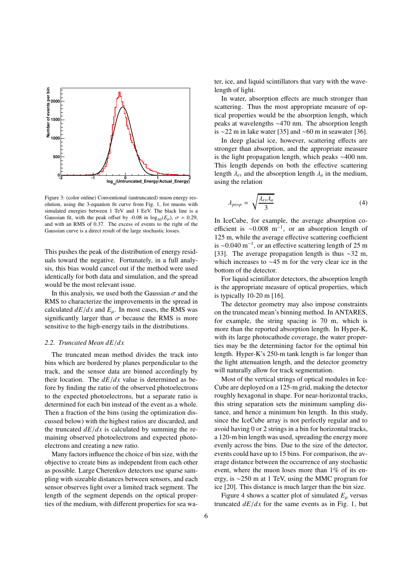

Figure 3: (color online) Conventional (untruncated) muon energy resolution, using the 3-equation fit curve from Fig. 1, for muons with simulated energies between 1 TeV and 1 EeV. The black line is a Gaussian fit, with the peak offset by -0.08 in  $log_{10}(E_u)$ ,  $\sigma = 0.29$ , and with an RMS of 0.37. The excess of events to the right of the Gaussian curve is a direct result of the large stochastic losses.

This pushes the peak of the distribution of energy residuals toward the negative. Fortunately, in a full analysis, this bias would cancel out if the method were used identically for both data and simulation, and the spread would be the most relevant issue.

In this analysis, we used both the Gaussian  $\sigma$  and the RMS to characterize the improvements in the spread in calculated  $dE/dx$  and  $E_\mu$ . In most cases, the RMS was significantly larger than  $\sigma$  because the RMS is more sensitive to the high-energy tails in the distributions.

#### *2.2. Truncated Mean dE*/*dx*

The truncated mean method divides the track into bins which are bordered by planes perpendicular to the track, and the sensor data are binned accordingly by their location. The  $dE/dx$  value is determined as before by finding the ratio of the observed photoelectrons to the expected photoelectrons, but a separate ratio is determined for each bin instead of the event as a whole. Then a fraction of the bins (using the optimization discussed below) with the highest ratios are discarded, and the truncated  $dE/dx$  is calculated by summing the remaining observed photoelectrons and expected photoelectrons and creating a new ratio.

Many factors influence the choice of bin size, with the objective to create bins as independent from each other as possible. Large Cherenkov detectors use sparse sampling with sizeable distances between sensors, and each sensor observes light over a limited track segment. The length of the segment depends on the optical properties of the medium, with different properties for sea water, ice, and liquid scintillators that vary with the wavelength of light.

In water, absorption effects are much stronger than scattering. Thus the most appropriate measure of optical properties would be the absorption length, which peaks at wavelengths ∼470 nm. The absorption length is ∼22 m in lake water [35] and ∼60 m in seawater [36].

In deep glacial ice, however, scattering effects are stronger than absorption, and the appropriate measure is the light propagation length, which peaks ∼400 nm. This length depends on both the effective scattering length  $\lambda_{es}$  and the absorption length  $\lambda_a$  in the medium, using the relation

$$
\lambda_{prop} = \sqrt{\frac{\lambda_{es}\lambda_a}{3}}\tag{4}
$$

In IceCube, for example, the average absorption coefficient is ∼0.008 m−<sup>1</sup> , or an absorption length of 125 m, while the average effective scattering coefficient is ∼0.040 m<sup>−</sup><sup>1</sup> , or an effective scattering length of 25 m [33]. The average propagation length is thus ∼32 m, which increases to ∼45 m for the very clear ice in the bottom of the detector.

For liquid scintillator detectors, the absorption length is the appropriate measure of optical properties, which is typically 10-20 m [16].

The detector geometry may also impose constraints on the truncated mean's binning method. In ANTARES, for example, the string spacing is 70 m, which is more than the reported absorption length. In Hyper-K, with its large photocathode coverage, the water properties may be the determining factor for the optimal bin length. Hyper-K's 250-m tank length is far longer than the light attenuation length, and the detector geometry will naturally allow for track segmentation.

Most of the vertical strings of optical modules in Ice-Cube are deployed on a 125-m grid, making the detector roughly hexagonal in shape. For near-horizontal tracks, this string separation sets the minimum sampling distance, and hence a minimum bin length. In this study, since the IceCube array is not perfectly regular and to avoid having 0 or 2 strings in a bin for horizontal tracks, a 120-m bin length was used, spreading the energy more evenly across the bins. Due to the size of the detector, events could have up to 15 bins. For comparison, the average distance between the occurrence of any stochastic event, where the muon loses more than 1% of its energy, is ∼250 m at 1 TeV, using the MMC program for ice [20]. This distance is much larger than the bin size.

Figure 4 shows a scatter plot of simulated  $E_{\mu}$  versus truncated  $dE/dx$  for the same events as in Fig. 1, but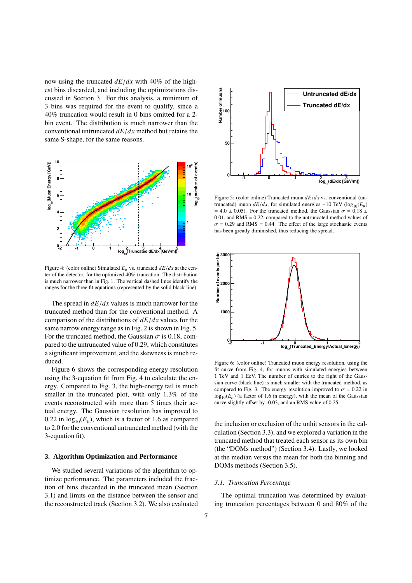now using the truncated *dE*/*dx* with 40% of the highest bins discarded, and including the optimizations discussed in Section 3. For this analysis, a minimum of 3 bins was required for the event to qualify, since a 40% truncation would result in 0 bins omitted for a 2 bin event. The distribution is much narrower than the conventional untruncated *dE*/*dx* method but retains the same S-shape, for the same reasons.



Figure 4: (color online) Simulated  $E_{\mu}$  vs. truncated  $dE/dx$  at the center of the detector, for the optimized 40% truncation. The distribution is much narrower than in Fig. 1. The vertical dashed lines identify the ranges for the three fit equations (represented by the solid black line).

The spread in *dE*/*dx* values is much narrower for the truncated method than for the conventional method. A comparison of the distributions of *dE*/*dx* values for the same narrow energy range as in Fig. 2 is shown in Fig. 5. For the truncated method, the Gaussian  $\sigma$  is 0.18, compared to the untruncated value of 0.29, which constitutes a significant improvement, and the skewness is much reduced.

Figure 6 shows the corresponding energy resolution using the 3-equation fit from Fig. 4 to calculate the energy. Compared to Fig. 3, the high-energy tail is much smaller in the truncated plot, with only 1.3% of the events reconstructed with more than 5 times their actual energy. The Gaussian resolution has improved to 0.22 in  $log_{10}(E_{\mu})$ , which is a factor of 1.6 as compared to 2.0 for the conventional untruncated method (with the 3-equation fit).

#### **3. Algorithm Optimization and Performance**

We studied several variations of the algorithm to optimize performance. The parameters included the fraction of bins discarded in the truncated mean (Section 3.1) and limits on the distance between the sensor and the reconstructed track (Section 3.2). We also evaluated



Figure 5: (color online) Truncated muon *dE*/*dx* vs. conventional (untruncated) muon  $dE/dx$ , for simulated energies ~10 TeV (log<sub>10</sub>( $E_u$ )  $= 4.0 \pm 0.05$ ). For the truncated method, the Gaussian  $\sigma = 0.18 \pm 0.05$  $0.01$ , and RMS =  $0.22$ , compared to the untruncated method values of  $\sigma$  = 0.29 and RMS = 0.44. The effect of the large stochastic events has been greatly diminished, thus reducing the spread.



Figure 6: (color online) Truncated muon energy resolution, using the fit curve from Fig. 4, for muons with simulated energies between 1 TeV and 1 EeV. The number of entries to the right of the Gaussian curve (black line) is much smaller with the truncated method, as compared to Fig. 3. The energy resolution improved to  $\sigma = 0.22$  in  $log_{10}(E_{\mu})$  (a factor of 1.6 in energy), with the mean of the Gaussian curve slightly offset by -0.03, and an RMS value of 0.25.

the inclusion or exclusion of the unhit sensors in the calculation (Section 3.3), and we explored a variation in the truncated method that treated each sensor as its own bin (the "DOMs method") (Section 3.4). Lastly, we looked at the median versus the mean for both the binning and DOMs methods (Section 3.5).

## *3.1. Truncation Percentage*

The optimal truncation was determined by evaluating truncation percentages between 0 and 80% of the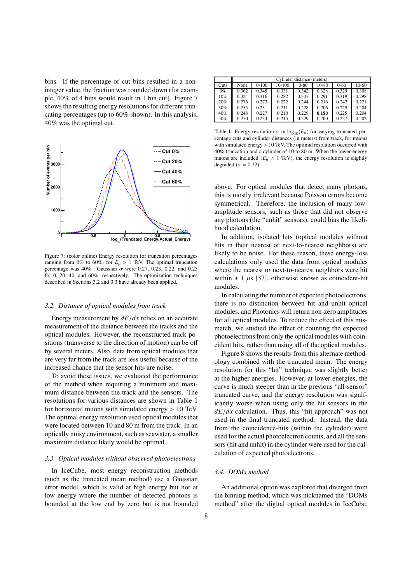bins. If the percentage of cut bins resulted in a noninteger value, the fraction was rounded down (for example, 40% of 4 bins would result in 1 bin cut). Figure 7 shows the resulting energy resolutions for different truncating percentages (up to 60% shown). In this analysis, 40% was the optimal cut.



Figure 7: (color online) Energy resolution for truncation percentages ranging from 0% to 60%, for  $E_{\mu} > 1$  TeV. The optimal truncation percentage was 40%. Gaussian  $\sigma$  were 0.27, 0.23, 0.22, and 0.23 for 0, 20, 40, and 60%, respectively. The optimization techniques described in Sections 3.2 and 3.3 have already been applied.

#### *3.2. Distance of optical modules from track*

Energy measurement by *dE*/*dx* relies on an accurate measurement of the distance between the tracks and the optical modules. However, the reconstructed track positions (transverse to the direction of motion) can be off by several meters. Also, data from optical modules that are very far from the track are less useful because of the increased chance that the sensor hits are noise.

To avoid these issues, we evaluated the performance of the method when requiring a minimum and maximum distance between the track and the sensors. The resolutions for various distances are shown in Table 1 for horizontal muons with simulated energy > 10 TeV. The optimal energy resolution used optical modules that were located between 10 and 80 m from the track. In an optically noisy environment, such as seawater, a smaller maximum distance likely would be optimal.

## *3.3. Optical modules without observed photoelectrons*

In IceCube, most energy reconstruction methods (such as the truncated mean method) use a Gaussian error model, which is valid at high energy but not at low energy where the number of detected photons is bounded at the low end by zero but is not bounded

|        | Cylinder distance (meters) |           |        |          |       |          |       |
|--------|----------------------------|-----------|--------|----------|-------|----------|-------|
| Cuts   | None                       | $0 - 100$ | 10-100 | $0 - 80$ | 10-80 | $0 - 60$ | 10-60 |
| $0\%$  | 0.362                      | 0.345     | 0.331  | 0.342    | 0.328 | 0.329    | 0.308 |
| $10\%$ | 0.324                      | 0.316     | 0.282  | 0.307    | 0.291 | 0.319    | 0.298 |
| 20%    | 0.276                      | 0.273     | 0.222  | 0.244    | 0.216 | 0.242    | 0.221 |
| 30%    | 0.255                      | 0.231     | 0.211  | 0.228    | 0.206 | 0.229    | 0.204 |
| 40%    | 0.248                      | 0.227     | 0.210  | 0.229    | 0.198 | 0.225    | 0.204 |
| 50%    | 0.250                      | 0.234     | 0.215  | 0.229    | 0.200 | 0.227    | 0.202 |

Table 1: Energy resolution  $\sigma$  in  $\log_{10}(E_{\mu})$  for varying truncated percentage cuts and cylinder distances (in meters) from track, for muons with simulated energy > 10 TeV. The optimal resolution occurred with 40% truncation and a cylinder of 10 to 80 m. When the lower-energy muons are included ( $E_{\mu} > 1$  TeV), the energy resolution is slightly degraded ( $\sigma = 0.22$ ).

above. For optical modules that detect many photons, this is mostly irrelevant because Poisson errors become symmetrical. Therefore, the inclusion of many lowamplitude sensors, such as those that did not observe any photons (the "unhit" sensors), could bias the likelihood calculation.

In addition, isolated hits (optical modules without hits in their nearest or next-to-nearest neighbors) are likely to be noise. For these reason, these energy-loss calculations only used the data from optical modules where the nearest or next-to-nearest neighbors were hit within  $\pm$  1 *us* [37], otherwise known as coincident-hit modules.

In calculating the number of expected photoelectrons, there is no distinction between hit and unhit optical modules, and Photonics will return non-zero amplitudes for all optical modules. To reduce the effect of this mismatch, we studied the effect of counting the expected photoelectrons from only the optical modules with coincident hits, rather than using all of the optical modules.

Figure 8 shows the results from this alternate methodology combined with the truncated mean. The energy resolution for this "hit" technique was slightly better at the higher energies. However, at lower energies, the curve is much steeper than in the previous "all-sensor" truncated curve, and the energy resolution was significantly worse when using only the hit sensors in the *dE*/*dx* calculation. Thus, this "hit approach" was not used in the final truncated method. Instead, the data from the coincidence-hits (within the cylinder) were used for the actual photoelectron counts, and all the sensors (hit and unhit) in the cylinder were used for the calculation of expected photoelectrons.

## *3.4. DOMs method*

An additional option was explored that diverged from the binning method, which was nicknamed the "DOMs method" after the digital optical modules in IceCube.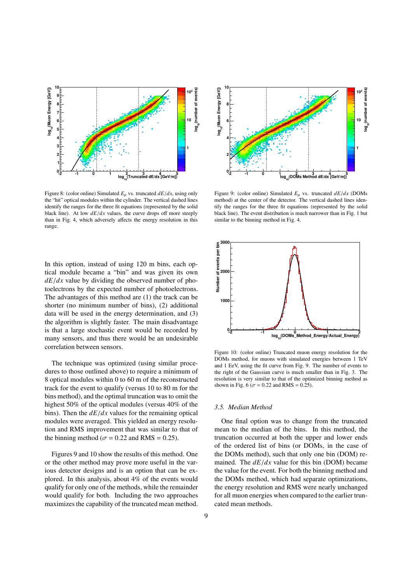

Figure 8: (color online) Simulated  $E_\mu$  vs. truncated  $dE/dx$ , using only the "hit" optical modules within the cylinder. The vertical dashed lines identify the ranges for the three fit equations (represented by the solid black line). At low  $dE/dx$  values, the curve drops off more steeply than in Fig. 4, which adversely affects the energy resolution in this range.

In this option, instead of using 120 m bins, each optical module became a "bin" and was given its own  $dE/dx$  value by dividing the observed number of photoelectrons by the expected number of photoelectrons. The advantages of this method are (1) the track can be shorter (no minimum number of bins), (2) additional data will be used in the energy determination, and (3) the algorithm is slightly faster. The main disadvantage is that a large stochastic event would be recorded by many sensors, and thus there would be an undesirable correlation between sensors.

The technique was optimized (using similar procedures to those outlined above) to require a minimum of 8 optical modules within 0 to 60 m of the reconstructed track for the event to qualify (versus 10 to 80 m for the bins method), and the optimal truncation was to omit the highest 50% of the optical modules (versus 40% of the bins). Then the *dE*/*dx* values for the remaining optical modules were averaged. This yielded an energy resolution and RMS improvement that was similar to that of the binning method ( $\sigma$  = 0.22 and RMS = 0.25).

Figures 9 and 10 show the results of this method. One or the other method may prove more useful in the various detector designs and is an option that can be explored. In this analysis, about 4% of the events would qualify for only one of the methods, while the remainder would qualify for both. Including the two approaches maximizes the capability of the truncated mean method.



Figure 9: (color online) Simulated  $E_{\mu}$  vs. truncated  $dE/dx$  (DOMs method) at the center of the detector. The vertical dashed lines identify the ranges for the three fit equations (represented by the solid black line). The event distribution is much narrower than in Fig. 1 but similar to the binning method in Fig. 4.



Figure 10: (color online) Truncated muon energy resolution for the DOMs method, for muons with simulated energies between 1 TeV and 1 EeV, using the fit curve from Fig. 9. The number of events to the right of the Gaussian curve is much smaller than in Fig. 3. The resolution is very similar to that of the optimized binning method as shown in Fig. 6 ( $\sigma$  = 0.22 and RMS = 0.25).

#### *3.5. Median Method*

One final option was to change from the truncated mean to the median of the bins. In this method, the truncation occurred at both the upper and lower ends of the ordered list of bins (or DOMs, in the case of the DOMs method), such that only one bin (DOM) remained. The *dE*/*dx* value for this bin (DOM) became the value for the event. For both the binning method and the DOMs method, which had separate optimizations, the energy resolution and RMS were nearly unchanged for all muon energies when compared to the earlier truncated mean methods.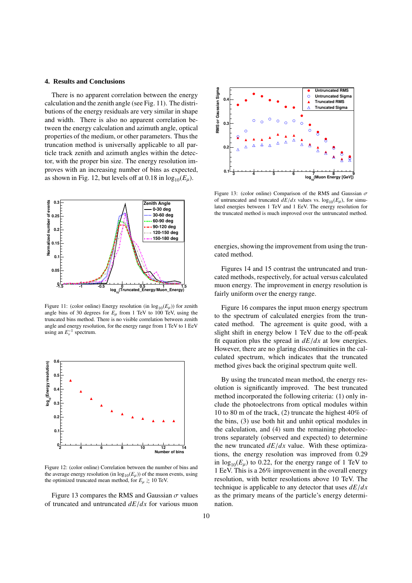# **4. Results and Conclusions**

There is no apparent correlation between the energy calculation and the zenith angle (see Fig. 11). The distributions of the energy residuals are very similar in shape and width. There is also no apparent correlation between the energy calculation and azimuth angle, optical properties of the medium, or other parameters. Thus the truncation method is universally applicable to all particle track zenith and azimuth angles within the detector, with the proper bin size. The energy resolution improves with an increasing number of bins as expected, as shown in Fig. 12, but levels off at 0.18 in  $log_{10}(E_\mu)$ .



Figure 11: (color online) Energy resolution (in  $log_{10}(E_{\mu})$ ) for zenith angle bins of 30 degrees for  $E_u$  from 1 TeV to 100 TeV, using the truncated bins method. There is no visible correlation between zenith angle and energy resolution, for the energy range from 1 TeV to 1 EeV using an  $E_v^{-1}$  spectrum.



Figure 12: (color online) Correlation between the number of bins and the average energy resolution (in  $log_{10}(E_u)$ ) of the muon events, using the optimized truncated mean method, for  $E_{\mu} \gtrsim 10$  TeV.

Figure 13 compares the RMS and Gaussian  $\sigma$  values of truncated and untruncated *dE*/*dx* for various muon



Figure 13: (color online) Comparison of the RMS and Gaussian  $\sigma$ of untruncated and truncated  $dE/dx$  values vs.  $log_{10}(E_{\mu})$ , for simulated energies between 1 TeV and 1 EeV. The energy resolution for the truncated method is much improved over the untruncated method.

energies, showing the improvement from using the truncated method.

Figures 14 and 15 contrast the untruncated and truncated methods, respectively, for actual versus calculated muon energy. The improvement in energy resolution is fairly uniform over the energy range.

Figure 16 compares the input muon energy spectrum to the spectrum of calculated energies from the truncated method. The agreement is quite good, with a slight shift in energy below 1 TeV due to the off-peak fit equation plus the spread in  $dE/dx$  at low energies. However, there are no glaring discontinuities in the calculated spectrum, which indicates that the truncated method gives back the original spectrum quite well.

By using the truncated mean method, the energy resolution is significantly improved. The best truncated method incorporated the following criteria: (1) only include the photoelectrons from optical modules within 10 to 80 m of the track, (2) truncate the highest 40% of the bins, (3) use both hit and unhit optical modules in the calculation, and (4) sum the remaining photoelectrons separately (observed and expected) to determine the new truncated  $dE/dx$  value. With these optimizations, the energy resolution was improved from 0.29 in  $log_{10}(E_u)$  to 0.22, for the energy range of 1 TeV to 1 EeV. This is a 26% improvement in the overall energy resolution, with better resolutions above 10 TeV. The technique is applicable to any detector that uses *dE*/*dx* as the primary means of the particle's energy determination.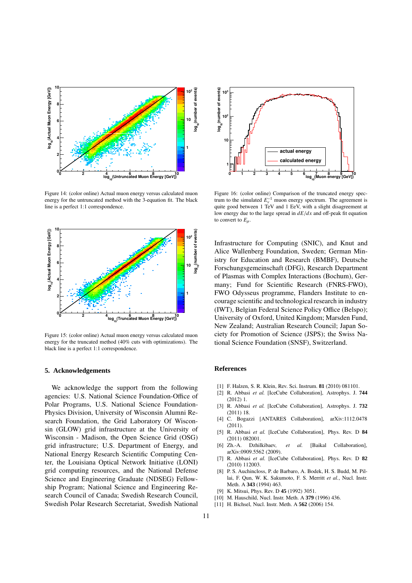

Figure 14: (color online) Actual muon energy versus calculated muon energy for the untruncated method with the 3-equation fit. The black line is a perfect 1:1 correspondence.



Figure 15: (color online) Actual muon energy versus calculated muon energy for the truncated method (40% cuts with optimizations). The black line is a perfect 1:1 correspondence.

#### **5. Acknowledgements**

We acknowledge the support from the following agencies: U.S. National Science Foundation-Office of Polar Programs, U.S. National Science Foundation-Physics Division, University of Wisconsin Alumni Research Foundation, the Grid Laboratory Of Wisconsin (GLOW) grid infrastructure at the University of Wisconsin - Madison, the Open Science Grid (OSG) grid infrastructure; U.S. Department of Energy, and National Energy Research Scientific Computing Center, the Louisiana Optical Network Initiative (LONI) grid computing resources, and the National Defense Science and Engineering Graduate (NDSEG) Fellowship Program; National Science and Engineering Research Council of Canada; Swedish Research Council, Swedish Polar Research Secretariat, Swedish National



Figure 16: (color online) Comparison of the truncated energy spectrum to the simulated  $E_v^{-1}$  muon energy spectrum. The agreement is quite good between 1 TeV and 1 EeV, with a slight disagreement at low energy due to the large spread in *dE*/*dx* and off-peak fit equation to convert to  $E_{\mu}$ .

Infrastructure for Computing (SNIC), and Knut and Alice Wallenberg Foundation, Sweden; German Ministry for Education and Research (BMBF), Deutsche Forschungsgemeinschaft (DFG), Research Department of Plasmas with Complex Interactions (Bochum), Germany; Fund for Scientific Research (FNRS-FWO), FWO Odysseus programme, Flanders Institute to encourage scientific and technological research in industry (IWT), Belgian Federal Science Policy Office (Belspo); University of Oxford, United Kingdom; Marsden Fund, New Zealand; Australian Research Council; Japan Society for Promotion of Science (JSPS); the Swiss National Science Foundation (SNSF), Switzerland.

## **References**

- [1] F. Halzen, S. R. Klein, Rev. Sci. Instrum. **81** (2010) 081101.
- [2] R. Abbasi *et al.* [IceCube Collaboration], Astrophys. J. **744** (2012) 1.
- [3] R. Abbasi *et al.* [IceCube Collaboration], Astrophys. J. **732** (2011) 18.
- [4] C. Bogazzi [ANTARES Collaboration], arXiv:1112.0478 (2011).
- [5] R. Abbasi *et al.* [IceCube Collaboration], Phys. Rev. D **84** (2011) 082001.
- [6] Zh.-A. Dzhilkibaev, *et al.* [Baikal Collaboration], arXiv:0909.5562 (2009).
- [7] R. Abbasi *et al.* [IceCube Collaboration], Phys. Rev. D **82** (2010) 112003.
- [8] P. S. Auchincloss, P. de Barbaro, A. Bodek, H. S. Budd, M. Pillai, F. Qun, W. K. Sakumoto, F. S. Merritt *et al.*, Nucl. Instr. Meth. A **343** (1994) 463.
- [9] K. Mitsui, Phys. Rev. D **45** (1992) 3051.
- [10] M. Hauschild, Nucl. Instr. Meth. A **379** (1996) 436.
- [11] H. Bichsel, Nucl. Instr. Meth. A **562** (2006) 154.